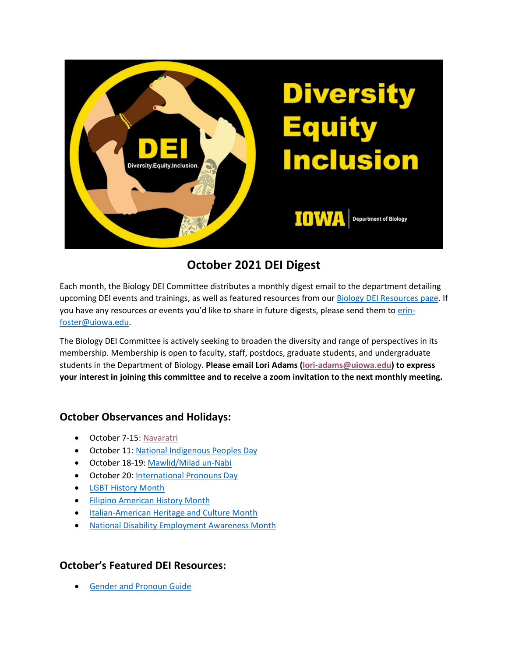

# **October 2021 DEI Digest**

Each month, the Biology DEI Committee distributes a monthly digest email to the department detailing upcoming DEI events and trainings, as well as featured resources from our [Biology DEI Resources page.](https://biology.uiowa.edu/about/diversity-equity-and-inclusion) If you have any resources or events you'd like to share in future digests, please send them t[o erin](mailto:erin-foster@uiowa.edu)[foster@uiowa.edu.](mailto:erin-foster@uiowa.edu)

The Biology DEI Committee is actively seeking to broaden the diversity and range of perspectives in its membership. Membership is open to faculty, staff, postdocs, graduate students, and undergraduate students in the Department of Biology. **Please email Lori Adams [\(lori-adams@uiowa.edu\)](mailto:lori-adams@uiowa.edu) to express your interest in joining this committee and to receive a zoom invitation to the next monthly meeting.**

## **October Observances and Holidays:**

- October 7-15[: Navaratri](https://www.india.com/festivals-events/when-is-navratri-2021-dates-significance-and-all-you-need-to-know-4960720/)
- October 11[: National Indigenous Peoples Day](https://www.history.com/news/goodbye-columbus-hello-indigenous-peoples-day)
- October 18-19: [Mawlid/Milad un-Nabi](https://www.officeholidays.com/holidays/mawlid)
- October 20[: International Pronouns Day](https://pronounsday.org/faqs)
- [LGBT History Month](https://lgbthistorymonth.com/)
- [Filipino American History Month](http://fanhs-national.org/filam/about/)
- [Italian-American Heritage and Culture Month](https://www.census.gov/newsroom/stories/italian-american-heritage-culture-month.html)
- [National Disability Employment Awareness Month](https://www.dol.gov/agencies/odep/initiatives/ndeam)

## **October's Featured DEI Resources:**

• [Gender and Pronoun Guide](https://rainbowcenter.uconn.edu/wp-content/uploads/sites/2262/2018/08/Gender-and-Pronoun-Guide-1.pdf)